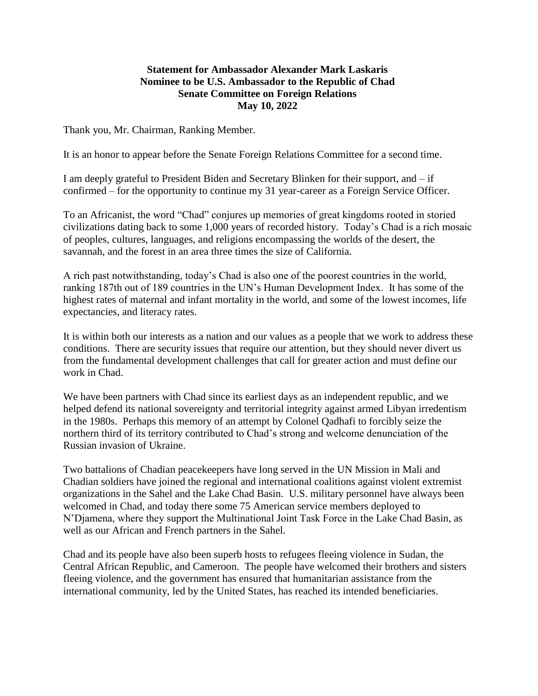## **Statement for Ambassador Alexander Mark Laskaris Nominee to be U.S. Ambassador to the Republic of Chad Senate Committee on Foreign Relations May 10, 2022**

Thank you, Mr. Chairman, Ranking Member.

It is an honor to appear before the Senate Foreign Relations Committee for a second time.

I am deeply grateful to President Biden and Secretary Blinken for their support, and – if confirmed – for the opportunity to continue my 31 year-career as a Foreign Service Officer.

To an Africanist, the word "Chad" conjures up memories of great kingdoms rooted in storied civilizations dating back to some 1,000 years of recorded history. Today's Chad is a rich mosaic of peoples, cultures, languages, and religions encompassing the worlds of the desert, the savannah, and the forest in an area three times the size of California.

A rich past notwithstanding, today's Chad is also one of the poorest countries in the world, ranking 187th out of 189 countries in the UN's Human Development Index. It has some of the highest rates of maternal and infant mortality in the world, and some of the lowest incomes, life expectancies, and literacy rates.

It is within both our interests as a nation and our values as a people that we work to address these conditions. There are security issues that require our attention, but they should never divert us from the fundamental development challenges that call for greater action and must define our work in Chad.

We have been partners with Chad since its earliest days as an independent republic, and we helped defend its national sovereignty and territorial integrity against armed Libyan irredentism in the 1980s. Perhaps this memory of an attempt by Colonel Qadhafi to forcibly seize the northern third of its territory contributed to Chad's strong and welcome denunciation of the Russian invasion of Ukraine.

Two battalions of Chadian peacekeepers have long served in the UN Mission in Mali and Chadian soldiers have joined the regional and international coalitions against violent extremist organizations in the Sahel and the Lake Chad Basin. U.S. military personnel have always been welcomed in Chad, and today there some 75 American service members deployed to N'Djamena, where they support the Multinational Joint Task Force in the Lake Chad Basin, as well as our African and French partners in the Sahel.

Chad and its people have also been superb hosts to refugees fleeing violence in Sudan, the Central African Republic, and Cameroon. The people have welcomed their brothers and sisters fleeing violence, and the government has ensured that humanitarian assistance from the international community, led by the United States, has reached its intended beneficiaries.